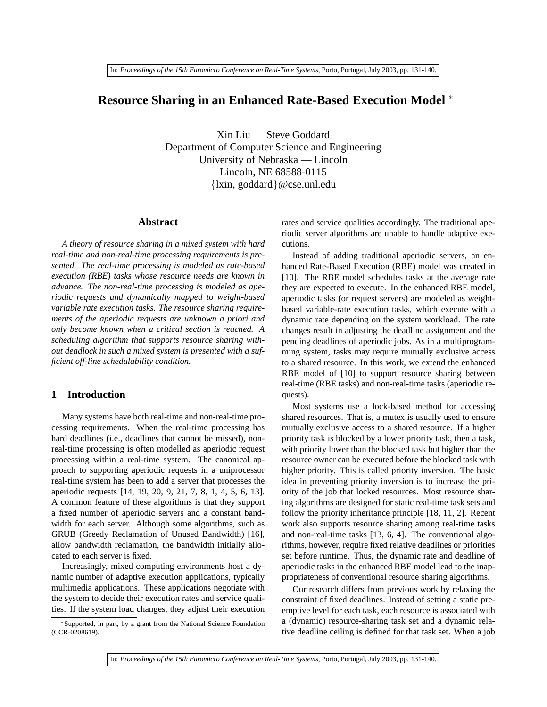# **Resource Sharing in an Enhanced Rate-Based Execution Model** <sup>∗</sup>

Xin Liu Steve Goddard Department of Computer Science and Engineering University of Nebraska — Lincoln Lincoln, NE 68588-0115 {lxin, goddard}@cse.unl.edu

#### **Abstract**

*A theory of resource sharing in a mixed system with hard real-time and non-real-time processing requirements is presented. The real-time processing is modeled as rate-based execution (RBE) tasks whose resource needs are known in advance. The non-real-time processing is modeled as aperiodic requests and dynamically mapped to weight-based variable rate execution tasks. The resource sharing requirements of the aperiodic requests are unknown a priori and only become known when a critical section is reached. A scheduling algorithm that supports resource sharing without deadlock in such a mixed system is presented with a sufficient off-line schedulability condition.*

### **1 Introduction**

Many systems have both real-time and non-real-time processing requirements. When the real-time processing has hard deadlines (i.e., deadlines that cannot be missed), nonreal-time processing is often modelled as aperiodic request processing within a real-time system. The canonical approach to supporting aperiodic requests in a uniprocessor real-time system has been to add a server that processes the aperiodic requests [14, 19, 20, 9, 21, 7, 8, 1, 4, 5, 6, 13]. A common feature of these algorithms is that they support a fixed number of aperiodic servers and a constant bandwidth for each server. Although some algorithms, such as GRUB (Greedy Reclamation of Unused Bandwidth) [16], allow bandwidth reclamation, the bandwidth initially allocated to each server is fixed.

Increasingly, mixed computing environments host a dynamic number of adaptive execution applications, typically multimedia applications. These applications negotiate with the system to decide their execution rates and service qualities. If the system load changes, they adjust their execution

<sup>∗</sup>Supported, in part, by a grant from the National Science Foundation (CCR-0208619).

rates and service qualities accordingly. The traditional aperiodic server algorithms are unable to handle adaptive executions.

Instead of adding traditional aperiodic servers, an enhanced Rate-Based Execution (RBE) model was created in [10]. The RBE model schedules tasks at the average rate they are expected to execute. In the enhanced RBE model, aperiodic tasks (or request servers) are modeled as weightbased variable-rate execution tasks, which execute with a dynamic rate depending on the system workload. The rate changes result in adjusting the deadline assignment and the pending deadlines of aperiodic jobs. As in a multiprogramming system, tasks may require mutually exclusive access to a shared resource. In this work, we extend the enhanced RBE model of [10] to support resource sharing between real-time (RBE tasks) and non-real-time tasks (aperiodic requests).

Most systems use a lock-based method for accessing shared resources. That is, a mutex is usually used to ensure mutually exclusive access to a shared resource. If a higher priority task is blocked by a lower priority task, then a task, with priority lower than the blocked task but higher than the resource owner can be executed before the blocked task with higher priority. This is called priority inversion. The basic idea in preventing priority inversion is to increase the priority of the job that locked resources. Most resource sharing algorithms are designed for static real-time task sets and follow the priority inheritance principle [18, 11, 2]. Recent work also supports resource sharing among real-time tasks and non-real-time tasks [13, 6, 4]. The conventional algorithms, however, require fixed relative deadlines or priorities set before runtime. Thus, the dynamic rate and deadline of aperiodic tasks in the enhanced RBE model lead to the inappropriateness of conventional resource sharing algorithms.

Our research differs from previous work by relaxing the constraint of fixed deadlines. Instead of setting a static preemptive level for each task, each resource is associated with a (dynamic) resource-sharing task set and a dynamic relative deadline ceiling is defined for that task set. When a job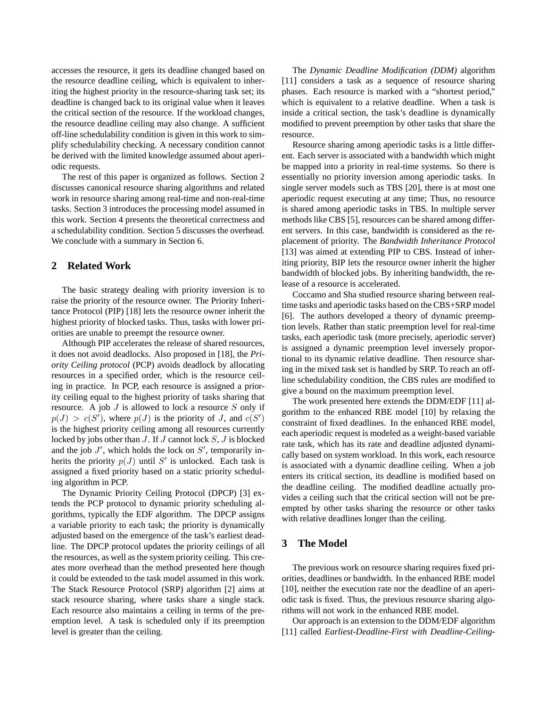accesses the resource, it gets its deadline changed based on the resource deadline ceiling, which is equivalent to inheriting the highest priority in the resource-sharing task set; its deadline is changed back to its original value when it leaves the critical section of the resource. If the workload changes, the resource deadline ceiling may also change. A sufficient off-line schedulability condition is given in this work to simplify schedulability checking. A necessary condition cannot be derived with the limited knowledge assumed about aperiodic requests.

The rest of this paper is organized as follows. Section 2 discusses canonical resource sharing algorithms and related work in resource sharing among real-time and non-real-time tasks. Section 3 introduces the processing model assumed in this work. Section 4 presents the theoretical correctness and a schedulability condition. Section 5 discusses the overhead. We conclude with a summary in Section 6.

### **2 Related Work**

The basic strategy dealing with priority inversion is to raise the priority of the resource owner. The Priority Inheritance Protocol (PIP) [18] lets the resource owner inherit the highest priority of blocked tasks. Thus, tasks with lower priorities are unable to preempt the resource owner.

Although PIP accelerates the release of shared resources, it does not avoid deadlocks. Also proposed in [18], the *Priority Ceiling protocol* (PCP) avoids deadlock by allocating resources in a specified order, which is the resource ceiling in practice. In PCP, each resource is assigned a priority ceiling equal to the highest priority of tasks sharing that resource. A job  $J$  is allowed to lock a resource  $S$  only if  $p(J) > c(S')$ , where  $p(J)$  is the priority of J, and  $c(S')$ is the highest priority ceiling among all resources currently locked by jobs other than  $J$ . If  $J$  cannot lock  $S$ ,  $J$  is blocked and the job  $J'$ , which holds the lock on  $S'$ , temporarily inherits the priority  $p(J)$  until S' is unlocked. Each task is assigned a fixed priority based on a static priority scheduling algorithm in PCP.

The Dynamic Priority Ceiling Protocol (DPCP) [3] extends the PCP protocol to dynamic priority scheduling algorithms, typically the EDF algorithm. The DPCP assigns a variable priority to each task; the priority is dynamically adjusted based on the emergence of the task's earliest deadline. The DPCP protocol updates the priority ceilings of all the resources, as well as the system priority ceiling. This creates more overhead than the method presented here though it could be extended to the task model assumed in this work. The Stack Resource Protocol (SRP) algorithm [2] aims at stack resource sharing, where tasks share a single stack. Each resource also maintains a ceiling in terms of the preemption level. A task is scheduled only if its preemption level is greater than the ceiling.

The *Dynamic Deadline Modification (DDM)* algorithm [11] considers a task as a sequence of resource sharing phases. Each resource is marked with a "shortest period," which is equivalent to a relative deadline. When a task is inside a critical section, the task's deadline is dynamically modified to prevent preemption by other tasks that share the resource.

Resource sharing among aperiodic tasks is a little different. Each server is associated with a bandwidth which might be mapped into a priority in real-time systems. So there is essentially no priority inversion among aperiodic tasks. In single server models such as TBS [20], there is at most one aperiodic request executing at any time; Thus, no resource is shared among aperiodic tasks in TBS. In multiple server methods like CBS [5], resources can be shared among different servers. In this case, bandwidth is considered as the replacement of priority. The *Bandwidth Inheritance Protocol* [13] was aimed at extending PIP to CBS. Instead of inheriting priority, BIP lets the resource owner inherit the higher bandwidth of blocked jobs. By inheriting bandwidth, the release of a resource is accelerated.

Coccamo and Sha studied resource sharing between realtime tasks and aperiodic tasks based on the CBS+SRP model [6]. The authors developed a theory of dynamic preemption levels. Rather than static preemption level for real-time tasks, each aperiodic task (more precisely, aperiodic server) is assigned a dynamic preemption level inversely proportional to its dynamic relative deadline. Then resource sharing in the mixed task set is handled by SRP. To reach an offline schedulability condition, the CBS rules are modified to give a bound on the maximum preemption level.

The work presented here extends the DDM/EDF [11] algorithm to the enhanced RBE model [10] by relaxing the constraint of fixed deadlines. In the enhanced RBE model, each aperiodic request is modeled as a weight-based variable rate task, which has its rate and deadline adjusted dynamically based on system workload. In this work, each resource is associated with a dynamic deadline ceiling. When a job enters its critical section, its deadline is modified based on the deadline ceiling. The modified deadline actually provides a ceiling such that the critical section will not be preempted by other tasks sharing the resource or other tasks with relative deadlines longer than the ceiling.

## **3 The Model**

The previous work on resource sharing requires fixed priorities, deadlines or bandwidth. In the enhanced RBE model [10], neither the execution rate nor the deadline of an aperiodic task is fixed. Thus, the previous resource sharing algorithms will not work in the enhanced RBE model.

Our approach is an extension to the DDM/EDF algorithm [11] called *Earliest-Deadline-First with Deadline-Ceiling-*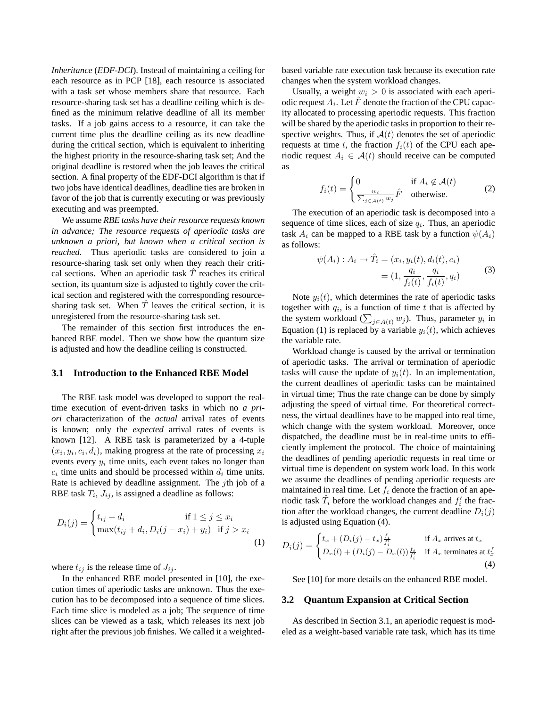*Inheritance* (*EDF-DCI*). Instead of maintaining a ceiling for each resource as in PCP [18], each resource is associated with a task set whose members share that resource. Each resource-sharing task set has a deadline ceiling which is defined as the minimum relative deadline of all its member tasks. If a job gains access to a resource, it can take the current time plus the deadline ceiling as its new deadline during the critical section, which is equivalent to inheriting the highest priority in the resource-sharing task set; And the original deadline is restored when the job leaves the critical section. A final property of the EDF-DCI algorithm is that if two jobs have identical deadlines, deadline ties are broken in favor of the job that is currently executing or was previously executing and was preempted.

We assume *RBE tasks have their resource requests known in advance; The resource requests of aperiodic tasks are unknown a priori, but known when a critical section is reached*. Thus aperiodic tasks are considered to join a resource-sharing task set only when they reach their critical sections. When an aperiodic task  $\hat{T}$  reaches its critical section, its quantum size is adjusted to tightly cover the critical section and registered with the corresponding resourcesharing task set. When  $\overline{T}$  leaves the critical section, it is unregistered from the resource-sharing task set.

The remainder of this section first introduces the enhanced RBE model. Then we show how the quantum size is adjusted and how the deadline ceiling is constructed.

#### **3.1 Introduction to the Enhanced RBE Model**

The RBE task model was developed to support the realtime execution of event-driven tasks in which no *a priori* characterization of the *actual* arrival rates of events is known; only the *expected* arrival rates of events is known [12]. A RBE task is parameterized by a 4-tuple  $(x_i, y_i, c_i, d_i)$ , making progress at the rate of processing  $x_i$ events every  $y_i$  time units, each event takes no longer than  $c_i$  time units and should be processed within  $d_i$  time units. Rate is achieved by deadline assignment. The jth job of a RBE task  $T_i$ ,  $J_{ij}$ , is assigned a deadline as follows:

$$
D_i(j) = \begin{cases} t_{ij} + d_i & \text{if } 1 \le j \le x_i \\ \max(t_{ij} + d_i, D_i(j - x_i) + y_i) & \text{if } j > x_i \end{cases}
$$
(1)

where  $t_{ij}$  is the release time of  $J_{ij}$ .

In the enhanced RBE model presented in [10], the execution times of aperiodic tasks are unknown. Thus the execution has to be decomposed into a sequence of time slices. Each time slice is modeled as a job; The sequence of time slices can be viewed as a task, which releases its next job right after the previous job finishes. We called it a weighted-

based variable rate execution task because its execution rate changes when the system workload changes.

Usually, a weight  $w_i > 0$  is associated with each aperiodic request  $A_i$ . Let  $\hat{F}$  denote the fraction of the CPU capacity allocated to processing aperiodic requests. This fraction will be shared by the aperiodic tasks in proportion to their respective weights. Thus, if  $A(t)$  denotes the set of aperiodic requests at time t, the fraction  $f_i(t)$  of the CPU each aperiodic request  $A_i \in \mathcal{A}(t)$  should receive can be computed as

$$
f_i(t) = \begin{cases} 0 & \text{if } A_i \notin \mathcal{A}(t) \\ \frac{w_i}{\sum_{j \in \mathcal{A}(t)} w_j} \hat{F} & \text{otherwise.} \end{cases}
$$
 (2)

The execution of an aperiodic task is decomposed into a sequence of time slices, each of size  $q_i$ . Thus, an aperiodic task  $A_i$  can be mapped to a RBE task by a function  $\psi(A_i)$ as follows:

$$
\psi(A_i) : A_i \to \hat{T}_i = (x_i, y_i(t), d_i(t), c_i)
$$
  
=  $(1, \frac{q_i}{f_i(t)}, \frac{q_i}{f_i(t)}, q_i)$  (3)

Note  $y_i(t)$ , which determines the rate of aperiodic tasks together with  $q_i$ , is a function of time t that is affected by together with  $q_i$ , is a function of time t that is affected by<br>the system workload  $(\sum_{j \in A(t)} w_j)$ . Thus, parameter  $y_i$  in Equation (1) is replaced by a variable  $y_i(t)$ , which achieves the variable rate.

Workload change is caused by the arrival or termination of aperiodic tasks. The arrival or termination of aperiodic tasks will cause the update of  $y_i(t)$ . In an implementation, the current deadlines of aperiodic tasks can be maintained in virtual time; Thus the rate change can be done by simply adjusting the speed of virtual time. For theoretical correctness, the virtual deadlines have to be mapped into real time, which change with the system workload. Moreover, once dispatched, the deadline must be in real-time units to efficiently implement the protocol. The choice of maintaining the deadlines of pending aperiodic requests in real time or virtual time is dependent on system work load. In this work we assume the deadlines of pending aperiodic requests are maintained in real time. Let  $f_i$  denote the fraction of an aperiodic task  $\hat{T}_i$  before the workload changes and  $f'_i$  the fraction after the workload changes, the current deadline  $D_i(j)$ is adjusted using Equation (4).

$$
D_i(j) = \begin{cases} t_x + (D_i(j) - t_x) \frac{f_i}{f'_i} & \text{if } A_x \text{ arrives at } t_x \\ D_x(l) + (D_i(j) - D_x(l)) \frac{f_i}{f'_i} & \text{if } A_x \text{ terminates at } t_x^f \end{cases}
$$
(4)

See [10] for more details on the enhanced RBE model.

#### **3.2 Quantum Expansion at Critical Section**

As described in Section 3.1, an aperiodic request is modeled as a weight-based variable rate task, which has its time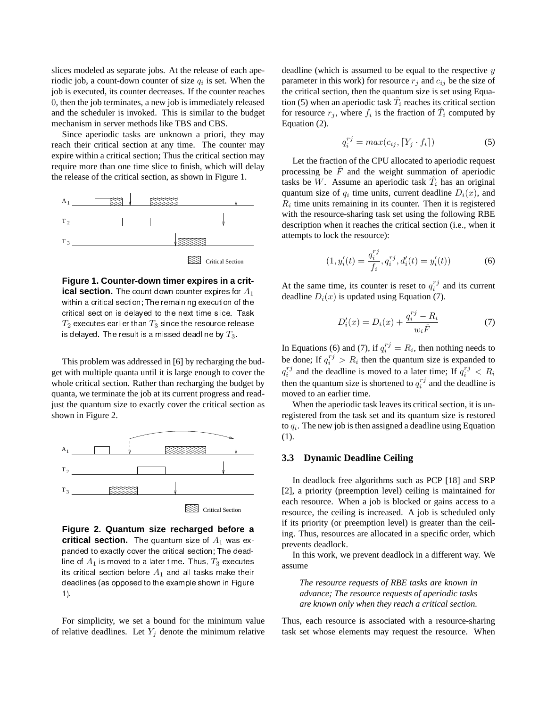slices modeled as separate jobs. At the release of each aperiodic job, a count-down counter of size  $q_i$  is set. When the job is executed, its counter decreases. If the counter reaches 0, then the job terminates, a new job is immediately released and the scheduler is invoked. This is similar to the budget mechanism in server methods like TBS and CBS.

Since aperiodic tasks are unknown a priori, they may reach their critical section at any time. The counter may expire within a critical section; Thus the critical section may require more than one time slice to finish, which will delay the release of the critical section, as shown in Figure 1.



**Figure 1. Counter-down timer expires in a critical section.** The count-down counter expires for  $A_1$ within a critical section; The remaining execution of the critical section is delayed to the next time slice. Task  $T_2$  executes earlier than  $T_3$  since the resource release is delayed. The result is a missed deadline by  $T_3$ .

This problem was addressed in [6] by recharging the budget with multiple quanta until it is large enough to cover the whole critical section. Rather than recharging the budget by quanta, we terminate the job at its current progress and readjust the quantum size to exactly cover the critical section as shown in Figure 2.



**Figure 2. Quantum size recharged before a critical section.** The quantum size of  $A_1$  was expanded to exactly cover the critical section; The deadline of  $A_1$  is moved to a later time. Thus,  $T_3$  executes its critical section before  $A_1$  and all tasks make their deadlines (as opposed to the example shown in Figure 1).

For simplicity, we set a bound for the minimum value of relative deadlines. Let  $Y_j$  denote the minimum relative

deadline (which is assumed to be equal to the respective  $y$ parameter in this work) for resource  $r_j$  and  $c_{ij}$  be the size of the critical section, then the quantum size is set using Equation (5) when an aperiodic task  $\hat{T}_i$  reaches its critical section for resource  $r_j$ , where  $f_i$  is the fraction of  $\hat{T}_i$  computed by Equation (2).

$$
q_i^{rj} = max(c_{ij}, \lceil Y_j \cdot f_i \rceil)
$$
\n(5)

Let the fraction of the CPU allocated to aperiodic request processing be  $\hat{F}$  and the weight summation of aperiodic tasks be W. Assume an aperiodic task  $\hat{T}_i$  has an original quantum size of  $q_i$  time units, current deadline  $D_i(x)$ , and  $R_i$  time units remaining in its counter. Then it is registered with the resource-sharing task set using the following RBE description when it reaches the critical section (i.e., when it attempts to lock the resource):

$$
(1, y_i'(t) = \frac{q_i^{r_j}}{f_i}, q_i^{r_j}, d_i'(t) = y_i'(t))
$$
\n(6)

At the same time, its counter is reset to  $q_i^{rj}$  and its current deadline  $D_i(x)$  is updated using Equation (7).

$$
D_i'(x) = D_i(x) + \frac{q_i^{rj} - R_i}{w_i \hat{F}}
$$
 (7)

In Equations (6) and (7), if  $q_i^{rj} = R_i$ , then nothing needs to be done; If  $q_i^{rj} > R_i$  then the quantum size is expanded to  $q_i^{rj}$  and the deadline is moved to a later time; If  $q_i^{rj} < R_i$ then the quantum size is shortened to  $q_i^{r_j}$  and the deadline is moved to an earlier time.

When the aperiodic task leaves its critical section, it is unregistered from the task set and its quantum size is restored to  $q_i$ . The new job is then assigned a deadline using Equation (1).

### **3.3 Dynamic Deadline Ceiling**

In deadlock free algorithms such as PCP [18] and SRP [2], a priority (preemption level) ceiling is maintained for each resource. When a job is blocked or gains access to a resource, the ceiling is increased. A job is scheduled only if its priority (or preemption level) is greater than the ceiling. Thus, resources are allocated in a specific order, which prevents deadlock.

In this work, we prevent deadlock in a different way. We assume

*The resource requests of RBE tasks are known in advance; The resource requests of aperiodic tasks are known only when they reach a critical section.*

Thus, each resource is associated with a resource-sharing task set whose elements may request the resource. When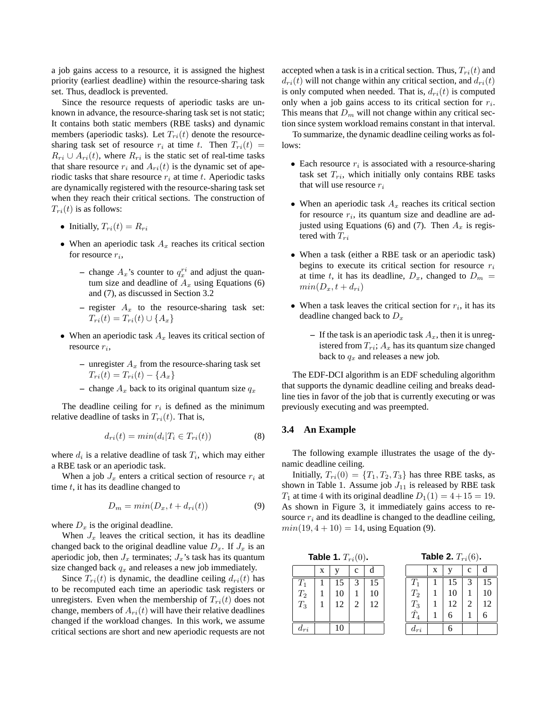a job gains access to a resource, it is assigned the highest priority (earliest deadline) within the resource-sharing task set. Thus, deadlock is prevented.

Since the resource requests of aperiodic tasks are unknown in advance, the resource-sharing task set is not static; It contains both static members (RBE tasks) and dynamic members (aperiodic tasks). Let  $T_{ri}(t)$  denote the resourcesharing task set of resource  $r_i$  at time t. Then  $T_{ri}(t)$  =  $R_{ri} \cup A_{ri}(t)$ , where  $R_{ri}$  is the static set of real-time tasks that share resource  $r_i$  and  $A_{ri}(t)$  is the dynamic set of aperiodic tasks that share resource  $r_i$  at time t. Aperiodic tasks are dynamically registered with the resource-sharing task set when they reach their critical sections. The construction of  $T_{ri}(t)$  is as follows:

- Initially,  $T_{ri}(t) = R_{ri}$
- When an aperiodic task  $A_x$  reaches its critical section for resource  $r_i$ ,
	- $-$  change  $A_x$ 's counter to  $q_x^{ri}$  and adjust the quantum size and deadline of  $A_x$  using Equations (6) and (7), as discussed in Section 3.2
	- $-$  register  $A_x$  to the resource-sharing task set:  $T_{ri}(t) = T_{ri}(t) \cup \{A_x\}$
- When an aperiodic task  $A_x$  leaves its critical section of resource  $r_i$ ,
	- unregister  $A_x$  from the resource-sharing task set  $T_{ri}(t) = T_{ri}(t) - \{A_x\}$
	- change  $A_x$  back to its original quantum size  $q_x$

The deadline ceiling for  $r_i$  is defined as the minimum relative deadline of tasks in  $T_{ri}(t)$ . That is,

$$
d_{ri}(t) = min(d_i | T_i \in T_{ri}(t))
$$
\n(8)

where  $d_i$  is a relative deadline of task  $T_i$ , which may either a RBE task or an aperiodic task.

When a job  $J_x$  enters a critical section of resource  $r_i$  at time  $t$ , it has its deadline changed to

$$
D_m = min(D_x, t + d_{ri}(t))
$$
\n(9)

where  $D_x$  is the original deadline.

When  $J_x$  leaves the critical section, it has its deadline changed back to the original deadline value  $D_x$ . If  $J_x$  is an aperiodic job, then  $J_x$  terminates;  $J_x$ 's task has its quantum size changed back  $q_x$  and releases a new job immediately.

Since  $T_{ri}(t)$  is dynamic, the deadline ceiling  $d_{ri}(t)$  has to be recomputed each time an aperiodic task registers or unregisters. Even when the membership of  $T_{ri}(t)$  does not change, members of  $A_{ri}(t)$  will have their relative deadlines changed if the workload changes. In this work, we assume critical sections are short and new aperiodic requests are not accepted when a task is in a critical section. Thus,  $T_{ri}(t)$  and  $d_{ri}(t)$  will not change within any critical section, and  $d_{ri}(t)$ is only computed when needed. That is,  $d_{ri}(t)$  is computed only when a job gains access to its critical section for  $r_i$ . This means that  $D_m$  will not change within any critical section since system workload remains constant in that interval.

To summarize, the dynamic deadline ceiling works as follows:

- Each resource  $r_i$  is associated with a resource-sharing task set  $T_{ri}$ , which initially only contains RBE tasks that will use resource  $r_i$
- When an aperiodic task  $A_x$  reaches its critical section for resource  $r_i$ , its quantum size and deadline are adjusted using Equations (6) and (7). Then  $A_x$  is registered with  $T_{ri}$
- When a task (either a RBE task or an aperiodic task) begins to execute its critical section for resource  $r_i$ at time t, it has its deadline,  $D_x$ , changed to  $D_m$  =  $min(D_x, t + d_{ri})$
- When a task leaves the critical section for  $r_i$ , it has its deadline changed back to  $D_x$ 
	- $-$  If the task is an aperiodic task  $A_x$ , then it is unregistered from  $T_{ri}$ ;  $A_x$  has its quantum size changed back to  $q_x$  and releases a new job.

The EDF-DCI algorithm is an EDF scheduling algorithm that supports the dynamic deadline ceiling and breaks deadline ties in favor of the job that is currently executing or was previously executing and was preempted.

### **3.4 An Example**

The following example illustrates the usage of the dynamic deadline ceiling.

Initially,  $T_{ri}(0) = \{T_1, T_2, T_3\}$  has three RBE tasks, as shown in Table 1. Assume job  $J_{11}$  is released by RBE task  $T_1$  at time 4 with its original deadline  $D_1(1) = 4 + 15 = 19$ . As shown in Figure 3, it immediately gains access to resource  $r_i$  and its deadline is changed to the deadline ceiling,  $min(19, 4 + 10) = 14$ , using Equation (9).

|  |  | Table 1. $T_{ri}(0)$ . |  |
|--|--|------------------------|--|
|--|--|------------------------|--|

**Table 2.**  $T_{ri}(6)$ .

| $\cdots$        |   |    |   | $\cdot$ $\cdot$ $\cdot$ $\cdot$ |                              |   |    |   |    |
|-----------------|---|----|---|---------------------------------|------------------------------|---|----|---|----|
|                 | X |    | c |                                 |                              | X |    | с | a  |
| $T_1$           |   | 15 |   | 15                              | $T_1$                        |   | 5  |   |    |
| $\mathcal{T}_2$ |   | 10 |   | 10                              | $T_2$                        |   | 10 |   |    |
| $T_3$           |   | 12 | 2 | 12                              | $\frac{T_3}{\hat{\bm{\pi}}}$ |   | 12 | 2 | 12 |
|                 |   |    |   |                                 |                              |   | 6  |   |    |
| $a_{ri}$        |   | 0  |   |                                 | $u_{ri}$                     |   |    |   |    |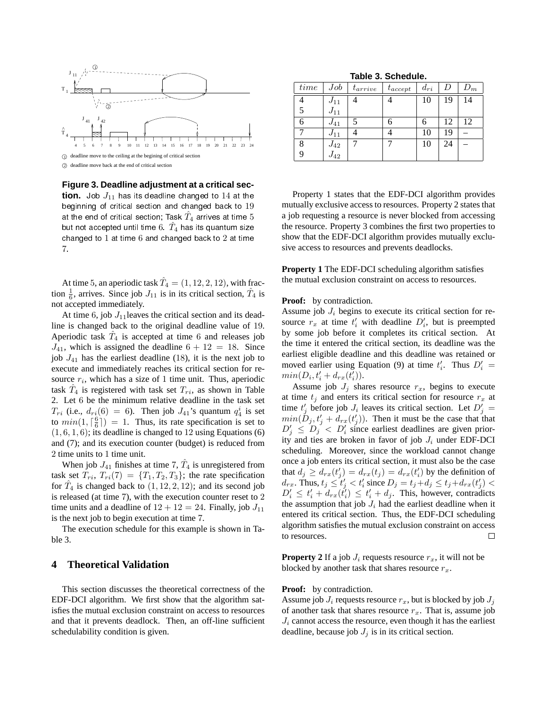

1 deadline move to the ceiling at the begining of critical section 2 deadline move back at the end of critical section

**Figure 3. Deadline adjustment at a critical section.** Job  $J_{11}$  has its deadline changed to 14 at the beginning of critical section and changed back to 19 at the end of critical section; Task  $\hat{T}_4$  arrives at time 5 but not accepted until time  $6. \ \hat{T}_4$  has its quantum size changed to  $1$  at time  $6$  and changed back to  $2$  at time 7.

At time 5, an aperiodic task  $\hat{T}_4 = (1, 12, 2, 12)$ , with fraction  $\frac{1}{6}$ , arrives. Since job  $J_{11}$  is in its critical section,  $\hat{T}_4$  is not accepted immediately.

At time 6, job  $J_{11}$  leaves the critical section and its deadline is changed back to the original deadline value of 19. Aperiodic task  $\hat{T}_4$  is accepted at time 6 and releases job  $J_{41}$ , which is assigned the deadline  $6 + 12 = 18$ . Since job  $J_{41}$  has the earliest deadline (18), it is the next job to execute and immediately reaches its critical section for resource  $r_i$ , which has a size of 1 time unit. Thus, aperiodic task  $\hat{T}_4$  is registered with task set  $T_{ri}$ , as shown in Table 2. Let 6 be the minimum relative deadline in the task set  $T_{ri}$  (i.e.,  $d_{ri}(6) = 6$ ). Then job  $J_{41}$ 's quantum  $q_4^i$  is set to  $min(1, \lceil \frac{6}{6} \rceil) = 1$ . Thus, its rate specification is set to  $(1, 6, 1, 6)$ ; its deadline is changed to 12 using Equations (6) and (7); and its execution counter (budget) is reduced from 2 time units to 1 time unit.

When job  $J_{41}$  finishes at time 7,  $\hat{T}_4$  is unregistered from task set  $T_{ri}$ ,  $T_{ri}(7) = \{T_1, T_2, T_3\}$ ; the rate specification for  $\hat{T}_4$  is changed back to  $(1, 12, 2, 12)$ ; and its second job is released (at time 7), with the execution counter reset to 2 time units and a deadline of  $12 + 12 = 24$ . Finally, job  $J_{11}$ is the next job to begin execution at time 7.

The execution schedule for this example is shown in Table 3.

## **4 Theoretical Validation**

This section discusses the theoretical correctness of the EDF-DCI algorithm. We first show that the algorithm satisfies the mutual exclusion constraint on access to resources and that it prevents deadlock. Then, an off-line sufficient schedulability condition is given.

**Table 3. Schedule.**

| time | Job      | $t_{arrive}$ | $t_{accept}$ | $d_{ri}$ |    | $D_m$ |
|------|----------|--------------|--------------|----------|----|-------|
|      | $J_{11}$ |              |              | 10       | 19 | 14    |
|      | $J_{11}$ |              |              |          |    |       |
| ი    | $J_{41}$ |              | 6            |          | 12 | 12    |
|      | $J_{11}$ |              |              | 10       | 19 |       |
| 8    | $J_{42}$ |              |              | 10       | 24 |       |
|      | $J_{42}$ |              |              |          |    |       |

Property 1 states that the EDF-DCI algorithm provides mutually exclusive access to resources. Property 2 states that a job requesting a resource is never blocked from accessing the resource. Property 3 combines the first two properties to show that the EDF-DCI algorithm provides mutually exclusive access to resources and prevents deadlocks.

**Property 1** The EDF-DCI scheduling algorithm satisfies the mutual exclusion constraint on access to resources.

#### **Proof:** by contradiction.

Assume job  $J_i$  begins to execute its critical section for resource  $r_x$  at time  $t'_i$  with deadline  $D'_i$ , but is preempted by some job before it completes its critical section. At the time it entered the critical section, its deadline was the earliest eligible deadline and this deadline was retained or moved earlier using Equation (9) at time  $t_i'$ . Thus  $D_i' =$  $min(D_i, t'_i + d_{rx}(t'_i)).$ 

Assume job  $J_j$  shares resource  $r_x$ , begins to execute at time  $t_j$  and enters its critical section for resource  $r_x$  at time  $t'_j$  before job  $J_i$  leaves its critical section. Let  $D'_j =$  $min(\tilde{D}_j, t'_j + d_{rx}(t'_j))$ . Then it must be the case that that  $D'_j \leq D'_j < D'_i$  since earliest deadlines are given priority and ties are broken in favor of job  $J_i$  under EDF-DCI scheduling. Moreover, since the workload cannot change once a job enters its critical section, it must also be the case that  $d_j \geq d_{rx}(t'_j) = d_{rx}(t_j) = d_{rx}(t'_i)$  by the definition of  $d_{rx}$ . Thus,  $t_j \leq t'_j < t'_i$  since  $D_j = t_j + d_j \leq t_j + d_{rx}(t'_j)$  $D'_i \leq t'_i + d_{rx}(\tilde{t}'_i) \leq t'_i + d_j$ . This, however, contradicts the assumption that job  $J_i$  had the earliest deadline when it entered its critical section. Thus, the EDF-DCI scheduling algorithm satisfies the mutual exclusion constraint on access to resources.  $\Box$ 

**Property 2** If a job  $J_i$  requests resource  $r_x$ , it will not be blocked by another task that shares resource  $r_x$ .

#### **Proof:** by contradiction.

Assume job  $J_i$  requests resource  $r_x$ , but is blocked by job  $J_i$ of another task that shares resource  $r<sub>x</sub>$ . That is, assume job  $J_i$  cannot access the resource, even though it has the earliest deadline, because job  $J_j$  is in its critical section.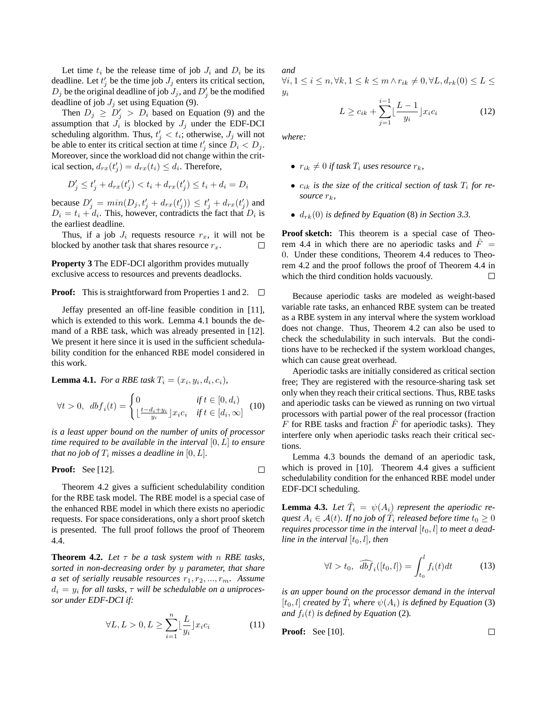Let time  $t_i$  be the release time of job  $J_i$  and  $D_i$  be its deadline. Let  $t'_j$  be the time job  $J_j$  enters its critical section,  $D_j$  be the original deadline of job  $J_j$ , and  $D'_j$  be the modified deadline of job  $J_j$  set using Equation (9).

Then  $D_j \ge D'_j > D_i$  based on Equation (9) and the assumption that  $J_i$  is blocked by  $J_j$  under the EDF-DCI scheduling algorithm. Thus,  $t'_j < t_i$ ; otherwise,  $J_j$  will not be able to enter its critical section at time  $t'_j$  since  $D_i < D_j$ . Moreover, since the workload did not change within the critical section,  $d_{rx}(t'_j) = d_{rx}(t_i) \leq d_i$ . Therefore,

$$
D'_j \le t'_j + d_{rx}(t'_j) < t_i + d_{rx}(t'_j) \le t_i + d_i = D_i
$$

because  $D'_j = min(D_j, t'_j + d_{rx}(t'_j)) \le t'_j + d_{rx}(t'_j)$  and  $D_i = t_i + d_i$ . This, however, contradicts the fact that  $D_i$  is the earliest deadline.

Thus, if a job  $J_i$  requests resource  $r_x$ , it will not be blocked by another task that shares resource  $r_x$ .  $\Box$ 

**Property 3** The EDF-DCI algorithm provides mutually exclusive access to resources and prevents deadlocks.

**Proof:** This is straightforward from Properties 1 and 2.  $\Box$ 

Jeffay presented an off-line feasible condition in [11], which is extended to this work. Lemma 4.1 bounds the demand of a RBE task, which was already presented in [12]. We present it here since it is used in the sufficient schedulability condition for the enhanced RBE model considered in this work.

**Lemma 4.1.** *For a RBE task*  $T_i = (x_i, y_i, d_i, c_i)$ *,* 

$$
\forall t > 0, \ db f_i(t) = \begin{cases} 0 & \text{if } t \in [0, d_i) \\ \lfloor \frac{t - d_i + y_i}{y_i} \rfloor x_i c_i & \text{if } t \in [d_i, \infty] \end{cases}
$$
 (10)

*is a least upper bound on the number of units of processor time required to be available in the interval* [0, L] *to ensure that no job of*  $T_i$  *misses a deadline in* [0, *L*].

**Proof:** See [12]. 
$$
\square
$$

Theorem 4.2 gives a sufficient schedulability condition for the RBE task model. The RBE model is a special case of the enhanced RBE model in which there exists no aperiodic requests. For space considerations, only a short proof sketch is presented. The full proof follows the proof of Theorem 4.4.

**Theorem 4.2.** Let  $\tau$  be a task system with n RBE tasks, *sorted in non-decreasing order by* y *parameter, that share a set of serially reusable resources*  $r_1, r_2, ..., r_m$ . Assume  $d_i = y_i$  for all tasks,  $\tau$  will be schedulable on a uniproces*sor under EDF-DCI if:*

$$
\forall L, L > 0, L \ge \sum_{i=1}^{n} \lfloor \frac{L}{y_i} \rfloor x_i c_i \tag{11}
$$

*and*  $\forall i, 1 \leq i \leq n, \forall k, 1 \leq k \leq m \wedge r_{ik} \neq 0, \forall L, d_{rk}(0) \leq L \leq$  $y_i$ 

$$
L \ge c_{ik} + \sum_{j=1}^{i-1} \left[ \frac{L-1}{y_i} \right] x_i c_i \tag{12}
$$

*where:*

- $r_{ik} \neq 0$  *if task*  $T_i$  *uses resource*  $r_k$ *,*
- $c_{ik}$  *is the size of the critical section of task*  $T_i$  *for resource*  $r_k$ *,*
- $\bullet$   $d_{rk}(0)$  *is defined by Equation* (8) *in Section 3.3.*

**Proof sketch:** This theorem is a special case of Theorem 4.4 in which there are no aperiodic tasks and  $\ddot{F}$  = 0. Under these conditions, Theorem 4.4 reduces to Theorem 4.2 and the proof follows the proof of Theorem 4.4 in which the third condition holds vacuously.  $\Box$ 

Because aperiodic tasks are modeled as weight-based variable rate tasks, an enhanced RBE system can be treated as a RBE system in any interval where the system workload does not change. Thus, Theorem 4.2 can also be used to check the schedulability in such intervals. But the conditions have to be rechecked if the system workload changes, which can cause great overhead.

Aperiodic tasks are initially considered as critical section free; They are registered with the resource-sharing task set only when they reach their critical sections. Thus, RBE tasks and aperiodic tasks can be viewed as running on two virtual processors with partial power of the real processor (fraction  $F$  for RBE tasks and fraction  $F$  for aperiodic tasks). They interfere only when aperiodic tasks reach their critical sections.

Lemma 4.3 bounds the demand of an aperiodic task, which is proved in [10]. Theorem 4.4 gives a sufficient schedulability condition for the enhanced RBE model under EDF-DCI scheduling.

**Lemma 4.3.** Let  $\hat{T}_i = \psi(A_i)$  represent the aperiodic re- $\mathit{quest}\ A_i \in \mathcal{A}(t)$ *. If no job of*  $\hat{T}_i$  *released before time*  $t_0 \geq 0$ *requires processor time in the interval*  $[t_0, l]$  *to meet a deadline in the interval*  $[t_0, l]$ *, then* 

$$
\forall l > t_0, \quad \widehat{dbf}_i([t_0, l]) = \int_{t_0}^l f_i(t)dt \tag{13}
$$

*is an upper bound on the processor demand in the interval*  $[t_0, l]$  *created by*  $\hat{T}_i$  *where*  $\psi(A_i)$  *is defined by Equation* (3) *and*  $f_i(t)$  *is defined by Equation* (2).

**Proof:** See [10].

 $\Box$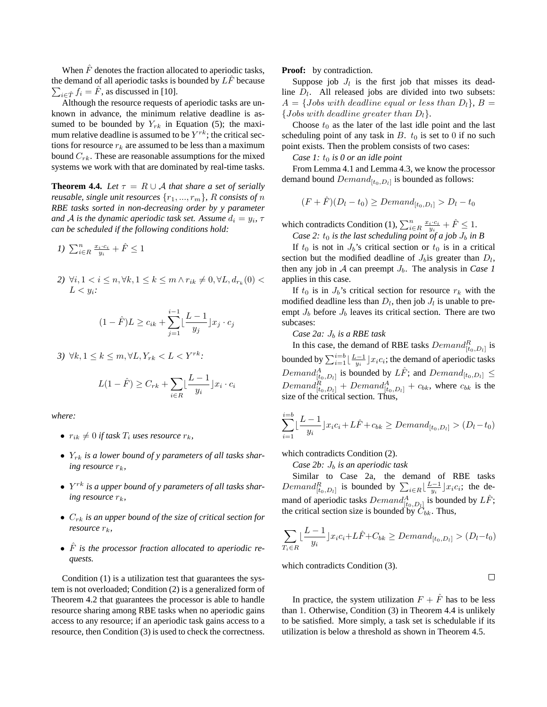When  $\hat{F}$  denotes the fraction allocated to aperiodic tasks, the demand of all aperiodic tasks is bounded by  $L\hat{F}$  because  $\sum_{i \in \hat{T}} f_i = \hat{F}$ , as discussed in [10].

Although the resource requests of aperiodic tasks are unknown in advance, the minimum relative deadline is assumed to be bounded by  $Y_{rk}$  in Equation (5); the maximum relative deadline is assumed to be  $Y^{rk}$ ; the critical sections for resource  $r_k$  are assumed to be less than a maximum bound  $C_{rk}$ . These are reasonable assumptions for the mixed systems we work with that are dominated by real-time tasks.

**Theorem 4.4.** *Let*  $\tau = R \cup A$  *that share a set of serially reusable, single unit resources*  $\{r_1, ..., r_m\}$ , R *consists of* n *RBE tasks sorted in non-decreasing order by y parameter* and  $A$  is the dynamic aperiodic task set. Assume  $d_i = y_i$ ,  $\tau$ *can be scheduled if the following conditions hold:*

$$
I) \sum_{i \in R}^{n} \frac{x_i \cdot c_i}{y_i} + \hat{F} \le 1
$$

2)  $\forall i, 1 < i \leq n, \forall k, 1 \leq k \leq m \land r_{ik} \neq 0, \forall L, d_{r_k}(0)$  <  $L < y_i$ :

$$
(1 - \hat{F})L \ge c_{ik} + \sum_{j=1}^{i-1} \left\lfloor \frac{L-1}{y_j} \right\rfloor x_j \cdot c_j
$$

*3*) ∀k,  $1 \leq k \leq m, \forall L, Y_{rk} \leq L \leq Y^{rk}$ :

$$
L(1-\hat{F}) \geq C_{rk} + \sum_{i \in R} \left[ \frac{L-1}{y_i} \right] x_i \cdot c_i
$$

*where:*

- $r_{ik} \neq 0$  *if task*  $T_i$  *uses resource*  $r_k$ *,*
- Yrk *is a lower bound of y parameters of all tasks sharing resource*  $r_k$ *,*
- $Y^{rk}$  is a upper bound of y parameters of all tasks shar- $\int$ *ing resource*  $r_k$ ,
- $\bullet$   $C_{rk}$  *is an upper bound of the size of critical section for resource*  $r_k$ ,
- $\hat{F}$  *is the processor fraction allocated to aperiodic requests.*

Condition (1) is a utilization test that guarantees the system is not overloaded; Condition (2) is a generalized form of Theorem 4.2 that guarantees the processor is able to handle resource sharing among RBE tasks when no aperiodic gains access to any resource; if an aperiodic task gains access to a resource, then Condition (3) is used to check the correctness.

**Proof:** by contradiction.

Suppose job  $J_l$  is the first job that misses its deadline  $D_l$ . All released jobs are divided into two subsets:  $A = \{Jobs\ with\ deadline\ equal\ or\ less\ than\ D_l\},\ B =$ {*Jobs with deadline greater than*  $D_l$ }.

Choose  $t_0$  as the later of the last idle point and the last scheduling point of any task in  $B$ .  $t_0$  is set to 0 if no such point exists. Then the problem consists of two cases:

*Case 1:*  $t_0$  *is 0 or an idle point* 

From Lemma 4.1 and Lemma 4.3, we know the processor demand bound  $Demand_{[t_0,D_l]}$  is bounded as follows:

$$
(F+\hat{F})(D_l-t_0) \geq Demand_{[t_0,D_l]} > D_l-t_0
$$

which contradicts Condition (1),  $\sum_{i \in R}^{n} \frac{x_i \cdot c_i}{y_i} + \hat{F} \leq 1$ .

*Case 2:*  $t_0$  *is the last scheduling point of a job*  $J_b$  *in B* 

If  $t_0$  is not in  $J_b$ 's critical section or  $t_0$  is in a critical section but the modified deadline of  $J_b$  is greater than  $D_l$ , then any job in  $A$  can preempt  $J<sub>b</sub>$ . The analysis in *Case 1* applies in this case.

If  $t_0$  is in  $J_b$ 's critical section for resource  $r_k$  with the modified deadline less than  $D_l$ , then job  $J_l$  is unable to preempt  $J_b$  before  $J_b$  leaves its critical section. There are two subcases:

*Case 2a:*  $J_b$  *is a RBE task* 

In this case, the demand of RBE tasks  $Domain_{[t_0,D_l]}^R$  is bounded by  $\sum_{i=1}^{i=b} \left[ \frac{L-1}{y_i} \right] x_i c_i$ ; the demand of aperiodic tasks  $\vspace{1mm} Demand^A_{[t_0,D_l]}$  is bounded by  $L\hat{F}$ ; and  $Demand_{[t_0,D_l]} \leq$  $Demand_{[t_0,D_l]}^R + Demand_{[t_0,D_l]}^A + c_{bk}$ , where  $c_{bk}$  is the size of the critical section. Thus,

$$
\sum_{i=1}^{i=b} \lfloor \frac{L-1}{y_i} \rfloor x_i c_i + L\hat{F} + c_{bk} \geq Demand_{[t_0, D_l]} > (D_l - t_0)
$$

which contradicts Condition (2).

*Case 2b:*  $J_b$  *is an aperiodic task* 

Similar to Case 2a, the demand of RBE tasks Similar to Case 2a, the demand of KBE tasks<br>  $Demand_{[t_0,D_l]}^R$  is bounded by  $\sum_{i \in R} \lfloor \frac{L-1}{y_i} \rfloor x_i c_i$ ; the demand of aperiodic tasks  $Domain_{[t_0,D_l]}^A$  is bounded by  $L\hat{F}$ ; the critical section size is bounded by  $C_{bk}$ . Thus,

$$
\sum_{T_i \in R} \lfloor \frac{L-1}{y_i} \rfloor x_i c_i + L\hat{F} + C_{bk} \geq Demand_{[t_0, D_l]} > (D_l - t_0)
$$

which contradicts Condition (3).

 $\Box$ 

In practice, the system utilization  $F + \hat{F}$  has to be less than 1. Otherwise, Condition (3) in Theorem 4.4 is unlikely to be satisfied. More simply, a task set is schedulable if its utilization is below a threshold as shown in Theorem 4.5.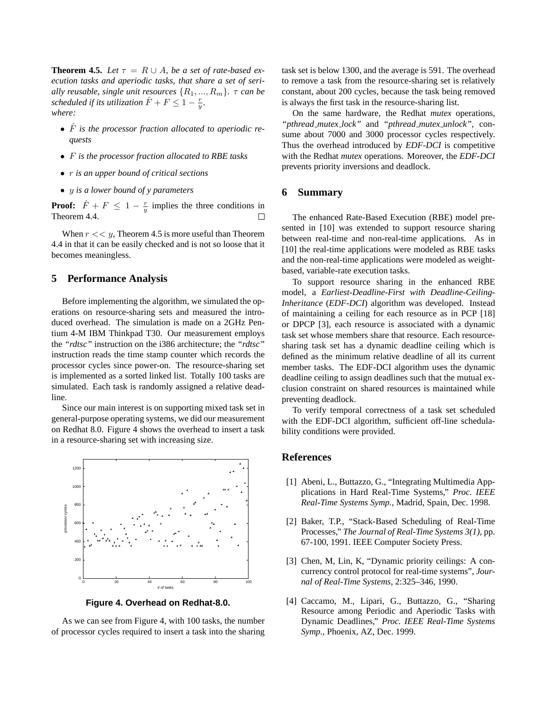**Theorem 4.5.** *Let*  $\tau = R \cup A$ *, be a set of rate-based execution tasks and aperiodic tasks, that share a set of serially reusable, single unit resources*  $\{R_1, ..., R_m\}$ .  $\tau$  *can be scheduled if its utilization*  $\hat{F} + F \leq 1 - \frac{r}{y}$ . *where:*

- $\hat{F}$  is the processor fraction allocated to aperiodic re*quests*
- F *is the processor fraction allocated to RBE tasks*
- r *is an upper bound of critical sections*
- y *is a lower bound of y parameters*

**Proof:**  $\hat{F} + F \leq 1 - \frac{r}{y}$  implies the three conditions in Theorem 4.4.  $\Box$ 

When  $r \ll y$ , Theorem 4.5 is more useful than Theorem 4.4 in that it can be easily checked and is not so loose that it becomes meaningless.

### **5 Performance Analysis**

Before implementing the algorithm, we simulated the operations on resource-sharing sets and measured the introduced overhead. The simulation is made on a 2GHz Pentium 4-M IBM Thinkpad T30. Our measurement employs the *"rdtsc"* instruction on the i386 architecture; the *"rdtsc"* instruction reads the time stamp counter which records the processor cycles since power-on. The resource-sharing set is implemented as a sorted linked list. Totally 100 tasks are simulated. Each task is randomly assigned a relative deadline.

Since our main interest is on supporting mixed task set in general-purpose operating systems, we did our measurement on Redhat 8.0. Figure 4 shows the overhead to insert a task in a resource-sharing set with increasing size.



**Figure 4. Overhead on Redhat-8.0.**

As we can see from Figure 4, with 100 tasks, the number of processor cycles required to insert a task into the sharing task set is below 1300, and the average is 591. The overhead to remove a task from the resource-sharing set is relatively constant, about 200 cycles, because the task being removed is always the first task in the resource-sharing list.

On the same hardware, the Redhat *mutex* operations, *"pthread mutex lock"* and *"pthread mutex unlock"*, consume about 7000 and 3000 processor cycles respectively. Thus the overhead introduced by *EDF-DCI* is competitive with the Redhat *mutex* operations. Moreover, the *EDF-DCI* prevents priority inversions and deadlock.

#### **6 Summary**

The enhanced Rate-Based Execution (RBE) model presented in [10] was extended to support resource sharing between real-time and non-real-time applications. As in [10] the real-time applications were modeled as RBE tasks and the non-real-time applications were modeled as weightbased, variable-rate execution tasks.

To support resource sharing in the enhanced RBE model, a *Earliest-Deadline-First with Deadline-Ceiling-Inheritance* (*EDF-DCI*) algorithm was developed. Instead of maintaining a ceiling for each resource as in PCP [18] or DPCP [3], each resource is associated with a dynamic task set whose members share that resource. Each resourcesharing task set has a dynamic deadline ceiling which is defined as the minimum relative deadline of all its current member tasks. The EDF-DCI algorithm uses the dynamic deadline ceiling to assign deadlines such that the mutual exclusion constraint on shared resources is maintained while preventing deadlock.

To verify temporal correctness of a task set scheduled with the EDF-DCI algorithm, sufficient off-line schedulability conditions were provided.

### **References**

- [1] Abeni, L., Buttazzo, G., "Integrating Multimedia Appplications in Hard Real-Time Systems," *Proc. IEEE Real-Time Systems Symp.*, Madrid, Spain, Dec. 1998.
- [2] Baker, T.P., "Stack-Based Scheduling of Real-Time Processes," *The Journal of Real-Time Systems 3(1),* pp. 67-100, 1991. IEEE Computer Society Press.
- [3] Chen, M, Lin, K, "Dynamic priority ceilings: A concurrency control protocol for real-time systems", *Journal of Real-Time Systems,* 2:325–346, 1990.
- [4] Caccamo, M., Lipari, G., Buttazzo, G., "Sharing Resource among Periodic and Aperiodic Tasks with Dynamic Deadlines," *Proc. IEEE Real-Time Systems Symp.*, Phoenix, AZ, Dec. 1999.